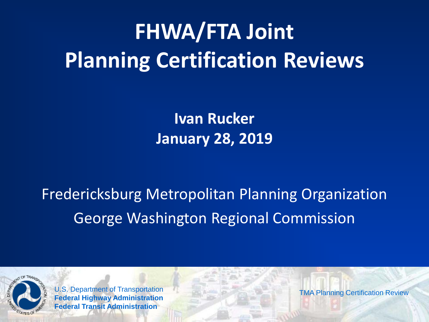# **FHWA/FTA Joint Planning Certification Reviews**

**Ivan Rucker January 28, 2019**

Fredericksburg Metropolitan Planning Organization George Washington Regional Commission



U.S. Department of Transportation **Federal Highway Administration Federal Transit Administration**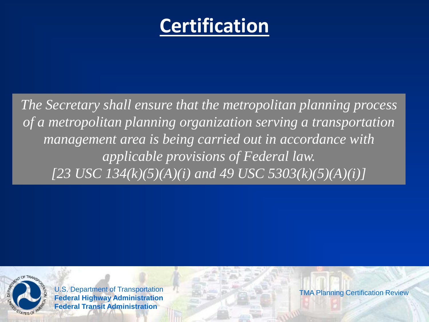#### **Certification**

*The Secretary shall ensure that the metropolitan planning process of a metropolitan planning organization serving a transportation management area is being carried out in accordance with applicable provisions of Federal law. [23 USC 134(k)(5)(A)(i) and 49 USC 5303(k)(5)(A)(i)]*



U.S. Department of Transportation **Federal Highway Administration Federal Transit Administration**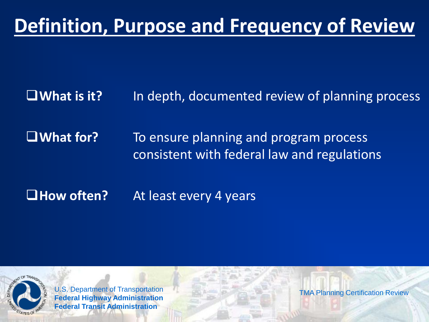### **Definition, Purpose and Frequency of Review**

**What is it?** In depth, documented review of planning process

**What for?** To ensure planning and program process consistent with federal law and regulations

■**How often?** At least every 4 years



U.S. Department of Transportation **Federal Highway Administration Federal Transit Administration**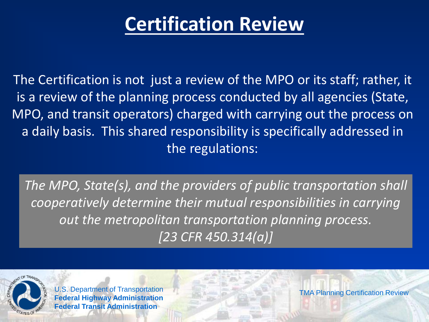#### **Certification Review**

The Certification is not just a review of the MPO or its staff; rather, it is a review of the planning process conducted by all agencies (State, MPO, and transit operators) charged with carrying out the process on a daily basis. This shared responsibility is specifically addressed in the regulations:

*The MPO, State(s), and the providers of public transportation shall cooperatively determine their mutual responsibilities in carrying out the metropolitan transportation planning process. [23 CFR 450.314(a)]* 



U.S. Department of Transportation **Federal Highway Administration Federal Transit Administration**

TMA Planning Certification Review

4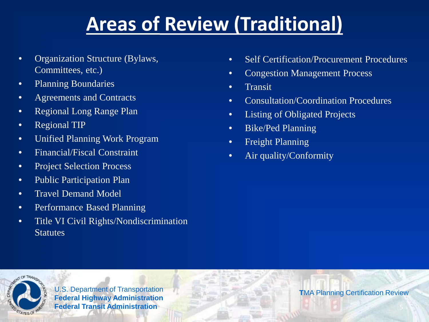### **Areas of Review (Traditional)**

- Organization Structure (Bylaws, Committees, etc.)
- Planning Boundaries
- Agreements and Contracts
- Regional Long Range Plan
- Regional TIP
- Unified Planning Work Program
- Financial/Fiscal Constraint
- Project Selection Process
- Public Participation Plan
- Travel Demand Model
- Performance Based Planning
- Title VI Civil Rights/Nondiscrimination **Statutes**
- Self Certification/Procurement Procedures
- Congestion Management Process
- Transit
- Consultation/Coordination Procedures
- Listing of Obligated Projects
- Bike/Ped Planning
- Freight Planning
- Air quality/Conformity



U.S. Department of Transportation **Federal Highway Administration Federal Transit Administration**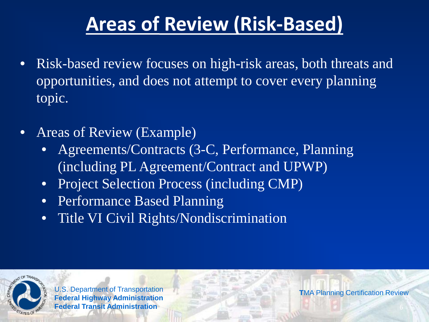### **Areas of Review (Risk-Based)**

- Risk-based review focuses on high-risk areas, both threats and opportunities, and does not attempt to cover every planning topic.
- Areas of Review (Example)
	- Agreements/Contracts (3-C, Performance, Planning (including PL Agreement/Contract and UPWP)
	- Project Selection Process (including CMP)
	- Performance Based Planning
	- Title VI Civil Rights/Nondiscrimination



U.S. Department of Transportation **Federal Highway Administration Federal Transit Administration**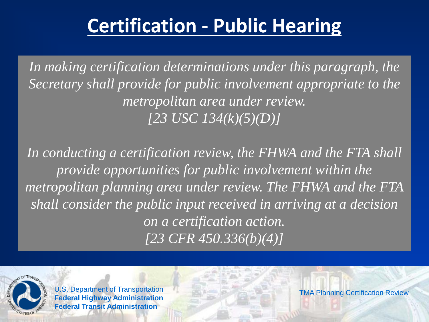#### **Certification - Public Hearing**

*In making certification determinations under this paragraph, the Secretary shall provide for public involvement appropriate to the metropolitan area under review. [23 USC 134(k)(5)(D)]* 

*In conducting a certification review, the FHWA and the FTA shall provide opportunities for public involvement within the metropolitan planning area under review. The FHWA and the FTA shall consider the public input received in arriving at a decision on a certification action. [23 CFR 450.336(b)(4)]*



U.S. Department of Transportation **Federal Highway Administration Federal Transit Administration**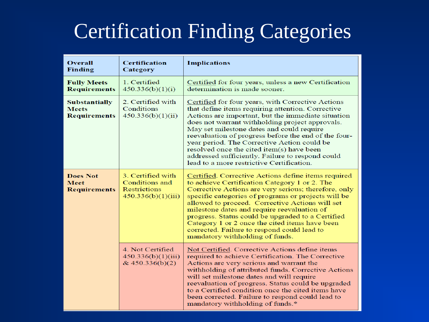### Certification Finding Categories

| <b>Overall</b><br><b>Finding</b>                            | <b>Certification</b><br>Category                                                 | <b>Implications</b>                                                                                                                                                                                                                                                                                                                                                                                                                                                                                               |
|-------------------------------------------------------------|----------------------------------------------------------------------------------|-------------------------------------------------------------------------------------------------------------------------------------------------------------------------------------------------------------------------------------------------------------------------------------------------------------------------------------------------------------------------------------------------------------------------------------------------------------------------------------------------------------------|
| <b>Fully Meets</b><br><b>Requirements</b>                   | 1. Certified<br>450.336(b)(1)(i)                                                 | Certified for four years, unless a new Certification<br>determination is made sooner.                                                                                                                                                                                                                                                                                                                                                                                                                             |
| <b>Substantially</b><br><b>Meets</b><br><b>Requirements</b> | 2. Certified with<br>Conditions<br>450.336(b)(1)(ii)                             | Certified for four years, with Corrective Actions<br>that define items requiring attention. Corrective<br>Actions are important, but the immediate situation<br>does not warrant withholding project approvals.<br>May set milestone dates and could require<br>reevaluation of progress before the end of the four-<br>year period. The Corrective Action could be<br>resolved once the cited item(s) have been<br>addressed sufficiently. Failure to respond could<br>lead to a more restrictive Certification. |
| <b>Does Not</b><br><b>Meet</b><br><b>Requirements</b>       | 3. Certified with<br>Conditions and<br><b>Restrictions</b><br>450.336(b)(1)(iii) | Certified. Corrective Actions define items required<br>to achieve Certification Category 1 or 2. The<br>Corrective Actions are very serious; therefore, only<br>specific categories of programs or projects will be<br>allowed to proceed. Corrective Actions will set<br>milestone dates and require reevaluation of<br>progress. Status could be upgraded to a Certified<br>Category 1 or 2 once the cited items have been<br>corrected. Failure to respond could lead to<br>mandatory withholding of funds.    |
|                                                             | 4. Not Certified<br>450.336(b)(1)(iii)<br>& 450.336(b)(2)                        | Not Certified. Corrective Actions define items<br>required to achieve Certification. The Corrective<br>Actions are very serious and warrant the<br>withholding of attributed funds. Corrective Actions<br>will set milestone dates and will require<br>reevaluation of progress. Status could be upgraded<br>to a Certified condition once the cited items have<br>been corrected. Failure to respond could lead to<br>mandatory withholding of funds.*                                                           |